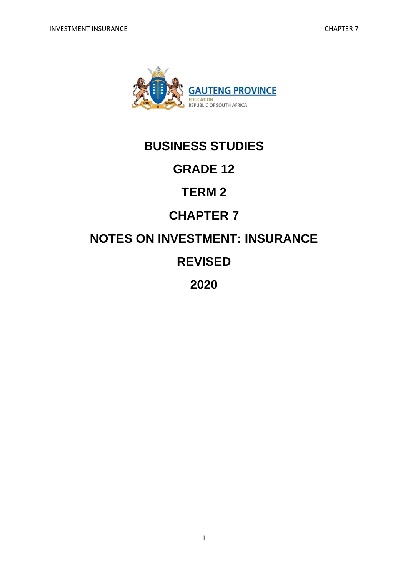

# **BUSINESS STUDIES**

# **GRADE 12**

# **TERM 2**

# **CHAPTER 7**

# **NOTES ON INVESTMENT: INSURANCE**

# **REVISED**

**2020** 

1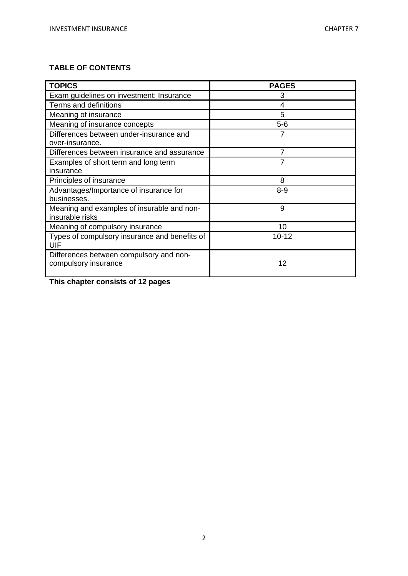# **TABLE OF CONTENTS**

| <b>TOPICS</b>                                                   | <b>PAGES</b> |
|-----------------------------------------------------------------|--------------|
| Exam guidelines on investment: Insurance                        | 3            |
| Terms and definitions                                           | 4            |
| Meaning of insurance                                            | 5            |
| Meaning of insurance concepts                                   | $5-6$        |
| Differences between under-insurance and<br>over-insurance.      | 7            |
| Differences between insurance and assurance                     |              |
| Examples of short term and long term<br>insurance               |              |
| Principles of insurance                                         | 8            |
| Advantages/Importance of insurance for<br>businesses.           | $8 - 9$      |
| Meaning and examples of insurable and non-<br>insurable risks   | 9            |
| Meaning of compulsory insurance                                 | 10           |
| Types of compulsory insurance and benefits of<br>UIF            | $10 - 12$    |
| Differences between compulsory and non-<br>compulsory insurance | 12           |

**This chapter consists of 12 pages**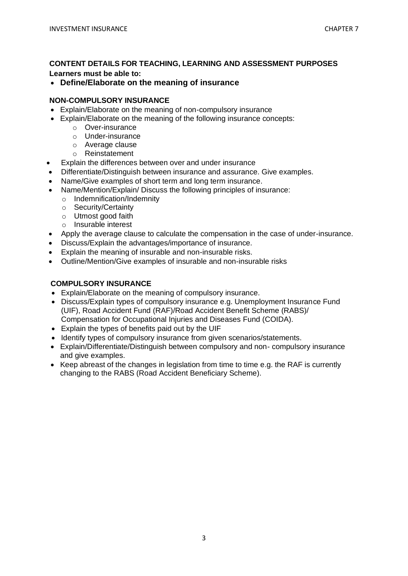### **CONTENT DETAILS FOR TEACHING, LEARNING AND ASSESSMENT PURPOSES Learners must be able to:**

## • **Define/Elaborate on the meaning of insurance**

#### **NON-COMPULSORY INSURANCE**

- Explain/Elaborate on the meaning of non-compulsory insurance
- Explain/Elaborate on the meaning of the following insurance concepts:
	- o Over-insurance
	- o Under-insurance
	- o Average clause
	- o Reinstatement
- Explain the differences between over and under insurance
- Differentiate/Distinguish between insurance and assurance. Give examples.
- Name/Give examples of short term and long term insurance.
- Name/Mention/Explain/ Discuss the following principles of insurance:
	- o Indemnification/Indemnity
	- o Security/Certainty
	- o Utmost good faith
	- o Insurable interest
- Apply the average clause to calculate the compensation in the case of under-insurance.
- Discuss/Explain the advantages/importance of insurance.
- Explain the meaning of insurable and non-insurable risks.
- Outline/Mention/Give examples of insurable and non-insurable risks

### **COMPULSORY INSURANCE**

- Explain/Elaborate on the meaning of compulsory insurance.
- Discuss/Explain types of compulsory insurance e.g. Unemployment Insurance Fund (UIF), Road Accident Fund (RAF)/Road Accident Benefit Scheme (RABS)/ Compensation for Occupational Injuries and Diseases Fund (COIDA).
- Explain the types of benefits paid out by the UIF
- Identify types of compulsory insurance from given scenarios/statements.
- Explain/Differentiate/Distinguish between compulsory and non- compulsory insurance and give examples.
- Keep abreast of the changes in legislation from time to time e.g. the RAF is currently changing to the RABS (Road Accident Beneficiary Scheme).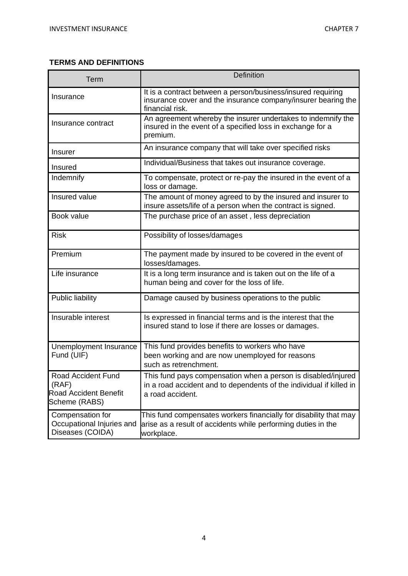# **TERMS AND DEFINITIONS**

| <b>Term</b>                                                                  | <b>Definition</b>                                                                                                                                        |
|------------------------------------------------------------------------------|----------------------------------------------------------------------------------------------------------------------------------------------------------|
| Insurance                                                                    | It is a contract between a person/business/insured requiring<br>insurance cover and the insurance company/insurer bearing the<br>financial risk.         |
| Insurance contract                                                           | An agreement whereby the insurer undertakes to indemnify the<br>insured in the event of a specified loss in exchange for a<br>premium.                   |
| <b>Insurer</b>                                                               | An insurance company that will take over specified risks                                                                                                 |
| Insured                                                                      | Individual/Business that takes out insurance coverage.                                                                                                   |
| Indemnify                                                                    | To compensate, protect or re-pay the insured in the event of a<br>loss or damage.                                                                        |
| Insured value                                                                | The amount of money agreed to by the insured and insurer to<br>insure assets/life of a person when the contract is signed.                               |
| Book value                                                                   | The purchase price of an asset, less depreciation                                                                                                        |
| <b>Risk</b>                                                                  | Possibility of losses/damages                                                                                                                            |
| Premium                                                                      | The payment made by insured to be covered in the event of<br>losses/damages.                                                                             |
| Life insurance                                                               | It is a long term insurance and is taken out on the life of a<br>human being and cover for the loss of life.                                             |
| <b>Public liability</b>                                                      | Damage caused by business operations to the public                                                                                                       |
| Insurable interest                                                           | Is expressed in financial terms and is the interest that the<br>insured stand to lose if there are losses or damages.                                    |
| Unemployment Insurance<br>Fund (UIF)                                         | This fund provides benefits to workers who have<br>been working and are now unemployed for reasons<br>such as retrenchment.                              |
| Road Accident Fund<br>(RAF)<br><b>Road Accident Benefit</b><br>Scheme (RABS) | This fund pays compensation when a person is disabled/injured<br>in a road accident and to dependents of the individual if killed in<br>a road accident. |
| Compensation for<br>Occupational Injuries and<br>Diseases (COIDA)            | This fund compensates workers financially for disability that may<br>arise as a result of accidents while performing duties in the<br>workplace.         |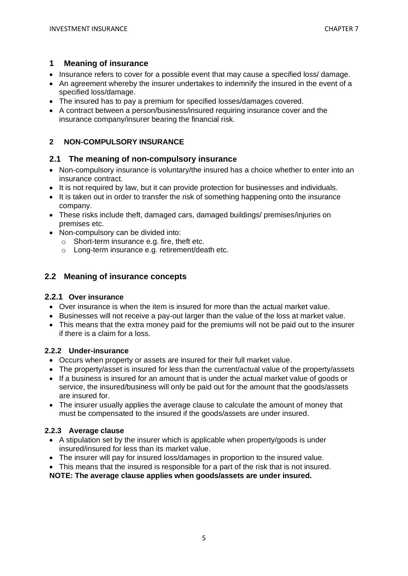#### **1 Meaning of insurance**

- Insurance refers to cover for a possible event that may cause a specified loss/ damage.
- An agreement whereby the insurer undertakes to indemnify the insured in the event of a specified loss/damage.
- The insured has to pay a premium for specified losses/damages covered.
- A contract between a person/business/insured requiring insurance cover and the insurance company/insurer bearing the financial risk.

### **2 NON-COMPULSORY INSURANCE**

#### **2.1 The meaning of non-compulsory insurance**

- Non-compulsory insurance is voluntary/the insured has a choice whether to enter into an insurance contract.
- It is not required by law, but it can provide protection for businesses and individuals.
- It is taken out in order to transfer the risk of something happening onto the insurance company.
- These risks include theft, damaged cars, damaged buildings/ premises/injuries on premises etc.
- Non-compulsory can be divided into:
	- o Short-term insurance e.g. fire, theft etc.
	- o Long-term insurance e.g. retirement/death etc.

# **2.2 Meaning of insurance concepts**

#### **2.2.1 Over insurance**

- Over insurance is when the item is insured for more than the actual market value.
- Businesses will not receive a pay-out larger than the value of the loss at market value.
- This means that the extra money paid for the premiums will not be paid out to the insurer if there is a claim for a loss.

### **2.2.2 Under-insurance**

- Occurs when property or assets are insured for their full market value.
- The property/asset is insured for less than the current/actual value of the property/assets
- If a business is insured for an amount that is under the actual market value of goods or service, the insured/business will only be paid out for the amount that the goods/assets are insured for.
- The insurer usually applies the average clause to calculate the amount of money that must be compensated to the insured if the goods/assets are under insured.

#### **2.2.3 Average clause**

- A stipulation set by the insurer which is applicable when property/goods is under insured/insured for less than its market value.
- The insurer will pay for insured loss/damages in proportion to the insured value.
- This means that the insured is responsible for a part of the risk that is not insured.

**NOTE: The average clause applies when goods/assets are under insured.**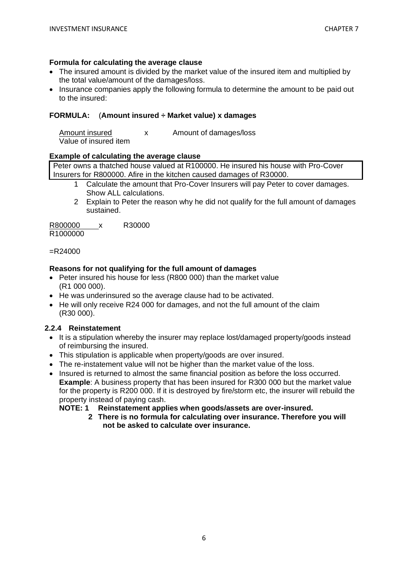#### **Formula for calculating the average clause**

- The insured amount is divided by the market value of the insured item and multiplied by the total value/amount of the damages/loss.
- Insurance companies apply the following formula to determine the amount to be paid out to the insured:

#### **FORMULA:** (**Amount insured ÷ Market value) x damages**

| Amount insured        | Amount of damages/loss |
|-----------------------|------------------------|
| Value of insured item |                        |

#### **Example of calculating the average clause**

Peter owns a thatched house valued at R100000. He insured his house with Pro-Cover Insurers for R800000. Afire in the kitchen caused damages of R30000.

- 1 Calculate the amount that Pro-Cover Insurers will pay Peter to cover damages. Show ALL calculations.
- 2 Explain to Peter the reason why he did not qualify for the full amount of damages sustained.

R800000 x R30000 R1000000

=R24000

#### **Reasons for not qualifying for the full amount of damages**

- Peter insured his house for less (R800 000) than the market value (R1 000 000).
- He was underinsured so the average clause had to be activated.
- He will only receive R24 000 for damages, and not the full amount of the claim (R30 000).

#### **2.2.4 Reinstatement**

- It is a stipulation whereby the insurer may replace lost/damaged property/goods instead of reimbursing the insured.
- This stipulation is applicable when property/goods are over insured.
- The re-instatement value will not be higher than the market value of the loss.
- Insured is returned to almost the same financial position as before the loss occurred. **Example**: A business property that has been insured for R300 000 but the market value for the property is R200 000. If it is destroyed by fire/storm etc, the insurer will rebuild the property instead of paying cash.

#### **NOTE: 1 Reinstatement applies when goods/assets are over-insured.**

**2 There is no formula for calculating over insurance. Therefore you will not be asked to calculate over insurance.**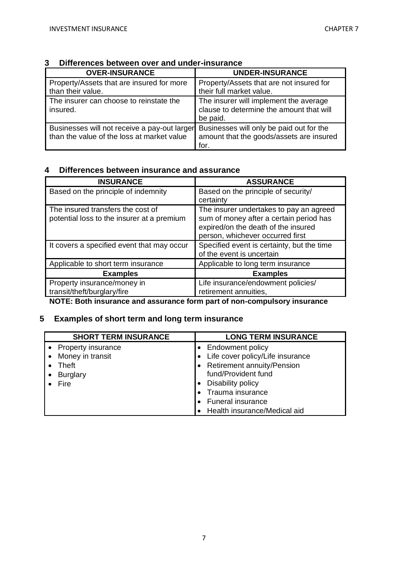| <b>OVER-INSURANCE</b>                                                                      | <b>UNDER-INSURANCE</b>                                                                         |
|--------------------------------------------------------------------------------------------|------------------------------------------------------------------------------------------------|
| Property/Assets that are insured for more                                                  | Property/Assets that are not insured for                                                       |
| than their value.                                                                          | their full market value.                                                                       |
| The insurer can choose to reinstate the<br>insured.                                        | The insurer will implement the average<br>clause to determine the amount that will<br>be paid. |
| Businesses will not receive a pay-out larger<br>than the value of the loss at market value | Businesses will only be paid out for the<br>amount that the goods/assets are insured<br>for.   |

#### **3 Differences between over and under-insurance**

# **4 Differences between insurance and assurance**

| <b>INSURANCE</b>                                                                | <b>ASSURANCE</b>                                                                                                                                              |
|---------------------------------------------------------------------------------|---------------------------------------------------------------------------------------------------------------------------------------------------------------|
| Based on the principle of indemnity                                             | Based on the principle of security/<br>certainty                                                                                                              |
| The insured transfers the cost of<br>potential loss to the insurer at a premium | The insurer undertakes to pay an agreed<br>sum of money after a certain period has<br>expired/on the death of the insured<br>person, whichever occurred first |
| It covers a specified event that may occur                                      | Specified event is certainty, but the time<br>of the event is uncertain                                                                                       |
| Applicable to short term insurance                                              | Applicable to long term insurance                                                                                                                             |
| <b>Examples</b>                                                                 | <b>Examples</b>                                                                                                                                               |
| Property insurance/money in<br>transit/theft/burglary/fire                      | Life insurance/endowment policies/<br>retirement annuities,                                                                                                   |

**NOTE: Both insurance and assurance form part of non-compulsory insurance** 

# **5 Examples of short term and long term insurance**

| <b>SHORT TERM INSURANCE</b> | <b>LONG TERM INSURANCE</b>       |
|-----------------------------|----------------------------------|
| <b>Property insurance</b>   | <b>Endowment policy</b>          |
| Money in transit            | Life cover policy/Life insurance |
| <b>Theft</b>                | Retirement annuity/Pension       |
| <b>Burglary</b>             | fund/Provident fund              |
| Fire                        | Disability policy                |
|                             | Trauma insurance                 |
|                             | Funeral insurance                |
|                             | Health insurance/Medical aid     |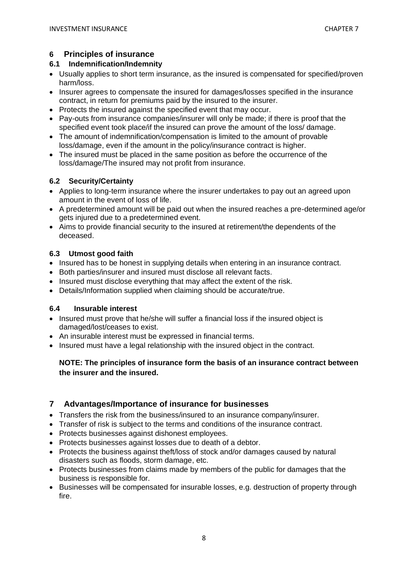# **6 Principles of insurance**

### **6.1 Indemnification/Indemnity**

- Usually applies to short term insurance, as the insured is compensated for specified/proven harm/loss.
- Insurer agrees to compensate the insured for damages/losses specified in the insurance contract, in return for premiums paid by the insured to the insurer.
- Protects the insured against the specified event that may occur.
- Pay-outs from insurance companies/insurer will only be made; if there is proof that the specified event took place/if the insured can prove the amount of the loss/ damage.
- The amount of indemnification/compensation is limited to the amount of provable loss/damage, even if the amount in the policy/insurance contract is higher.
- The insured must be placed in the same position as before the occurrence of the loss/damage/The insured may not profit from insurance.

# **6.2 Security/Certainty**

- Applies to long-term insurance where the insurer undertakes to pay out an agreed upon amount in the event of loss of life.
- A predetermined amount will be paid out when the insured reaches a pre-determined age/or gets injured due to a predetermined event.
- Aims to provide financial security to the insured at retirement/the dependents of the deceased.

# **6.3 Utmost good faith**

- Insured has to be honest in supplying details when entering in an insurance contract.
- Both parties/insurer and insured must disclose all relevant facts.
- Insured must disclose everything that may affect the extent of the risk.
- Details/Information supplied when claiming should be accurate/true.

### **6.4 Insurable interest**

- Insured must prove that he/she will suffer a financial loss if the insured object is damaged/lost/ceases to exist.
- An insurable interest must be expressed in financial terms.
- Insured must have a legal relationship with the insured object in the contract.

# **NOTE: The principles of insurance form the basis of an insurance contract between the insurer and the insured.**

# **7 Advantages/Importance of insurance for businesses**

- Transfers the risk from the business/insured to an insurance company/insurer.
- Transfer of risk is subject to the terms and conditions of the insurance contract.
- Protects businesses against dishonest employees.
- Protects businesses against losses due to death of a debtor.
- Protects the business against theft/loss of stock and/or damages caused by natural disasters such as floods, storm damage, etc.
- Protects businesses from claims made by members of the public for damages that the business is responsible for.
- Businesses will be compensated for insurable losses, e.g. destruction of property through fire.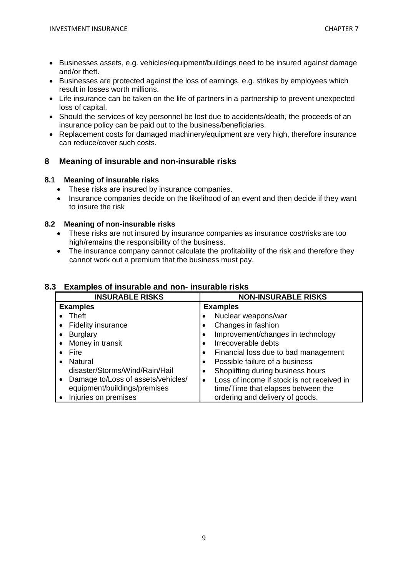- Businesses assets, e.g. vehicles/equipment/buildings need to be insured against damage and/or theft.
- Businesses are protected against the loss of earnings, e.g. strikes by employees which result in losses worth millions.
- Life insurance can be taken on the life of partners in a partnership to prevent unexpected loss of capital.
- Should the services of key personnel be lost due to accidents/death, the proceeds of an insurance policy can be paid out to the business/beneficiaries.
- Replacement costs for damaged machinery/equipment are very high, therefore insurance can reduce/cover such costs.

# **8 Meaning of insurable and non-insurable risks**

#### **8.1 Meaning of insurable risks**

- These risks are insured by insurance companies.
- Insurance companies decide on the likelihood of an event and then decide if they want to insure the risk

#### **8.2 Meaning of non-insurable risks**

- These risks are not insured by insurance companies as insurance cost/risks are too high/remains the responsibility of the business.
- The insurance company cannot calculate the profitability of the risk and therefore they cannot work out a premium that the business must pay.

# **8.3 Examples of insurable and non- insurable risks**

| <b>INSURABLE RISKS</b>                          | <b>NON-INSURABLE RISKS</b>                              |
|-------------------------------------------------|---------------------------------------------------------|
| <b>Examples</b>                                 | <b>Examples</b>                                         |
| Theft                                           | Nuclear weapons/war                                     |
| <b>Fidelity insurance</b><br>$\bullet$          | Changes in fashion                                      |
| <b>Burglary</b><br>$\bullet$                    | Improvement/changes in technology                       |
| Money in transit<br>$\bullet$                   | Irrecoverable debts                                     |
| Fire                                            | Financial loss due to bad management                    |
| Natural                                         | Possible failure of a business                          |
| disaster/Storms/Wind/Rain/Hail                  | Shoplifting during business hours                       |
| Damage to/Loss of assets/vehicles/<br>$\bullet$ | Loss of income if stock is not received in<br>$\bullet$ |
| equipment/buildings/premises                    | time/Time that elapses between the                      |
| Injuries on premises                            | ordering and delivery of goods.                         |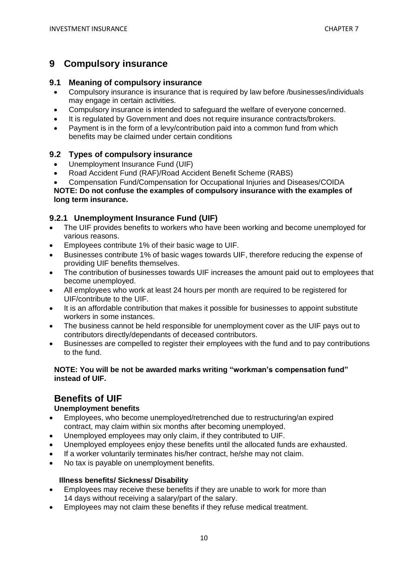# **9 Compulsory insurance**

### **9.1 Meaning of compulsory insurance**

- Compulsory insurance is insurance that is required by law before /businesses/individuals may engage in certain activities.
- Compulsory insurance is intended to safeguard the welfare of everyone concerned.
- It is regulated by Government and does not require insurance contracts/brokers.
- Payment is in the form of a levy/contribution paid into a common fund from which benefits may be claimed under certain conditions

# **9.2 Types of compulsory insurance**

- Unemployment Insurance Fund (UIF)
- Road Accident Fund (RAF)/Road Accident Benefit Scheme (RABS)
- Compensation Fund/Compensation for Occupational Injuries and Diseases/COIDA **NOTE: Do not confuse the examples of compulsory insurance with the examples of long term insurance.**

# **9.2.1 Unemployment Insurance Fund (UIF)**

- The UIF provides benefits to workers who have been working and become unemployed for various reasons.
- Employees contribute 1% of their basic wage to UIF.
- Businesses contribute 1% of basic wages towards UIF, therefore reducing the expense of providing UIF benefits themselves.
- The contribution of businesses towards UIF increases the amount paid out to employees that become unemployed.
- All employees who work at least 24 hours per month are required to be registered for UIF/contribute to the UIF.
- It is an affordable contribution that makes it possible for businesses to appoint substitute workers in some instances.
- The business cannot be held responsible for unemployment cover as the UIF pays out to contributors directly/dependants of deceased contributors.
- Businesses are compelled to register their employees with the fund and to pay contributions to the fund.

#### **NOTE: You will be not be awarded marks writing "workman's compensation fund" instead of UIF.**

# **Benefits of UIF**

### **Unemployment benefits**

- Employees, who become unemployed/retrenched due to restructuring/an expired contract, may claim within six months after becoming unemployed.
- Unemployed employees may only claim, if they contributed to UIF.
- Unemployed employees enjoy these benefits until the allocated funds are exhausted.
- If a worker voluntarily terminates his/her contract, he/she may not claim.
- No tax is payable on unemployment benefits.

#### **Illness benefits/ Sickness/ Disability**

- Employees may receive these benefits if they are unable to work for more than 14 days without receiving a salary/part of the salary.
- Employees may not claim these benefits if they refuse medical treatment.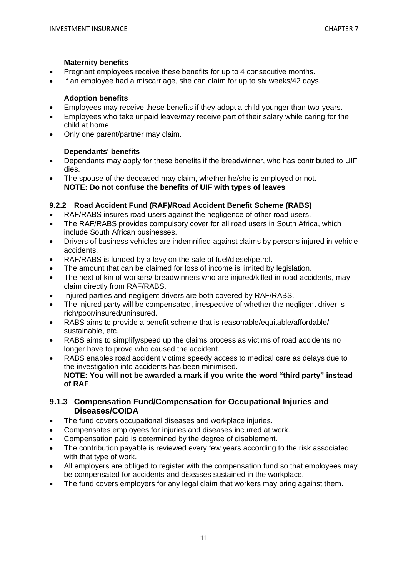#### **Maternity benefits**

- Pregnant employees receive these benefits for up to 4 consecutive months.
- If an employee had a miscarriage, she can claim for up to six weeks/42 days.

#### **Adoption benefits**

- Employees may receive these benefits if they adopt a child younger than two years.
- Employees who take unpaid leave/may receive part of their salary while caring for the child at home.
- Only one parent/partner may claim.

#### **Dependants' benefits**

- Dependants may apply for these benefits if the breadwinner, who has contributed to UIF dies.
- The spouse of the deceased may claim, whether he/she is employed or not. **NOTE: Do not confuse the benefits of UIF with types of leaves**

#### **9.2.2 Road Accident Fund (RAF)/Road Accident Benefit Scheme (RABS)**

- RAF/RABS insures road-users against the negligence of other road users.
- The RAF/RABS provides compulsory cover for all road users in South Africa, which include South African businesses.
- Drivers of business vehicles are indemnified against claims by persons injured in vehicle accidents.
- RAF/RABS is funded by a levy on the sale of fuel/diesel/petrol.
- The amount that can be claimed for loss of income is limited by legislation.
- The next of kin of workers/ breadwinners who are injured/killed in road accidents, may claim directly from RAF/RABS.
- Injured parties and negligent drivers are both covered by RAF/RABS.
- The injured party will be compensated, irrespective of whether the negligent driver is rich/poor/insured/uninsured.
- RABS aims to provide a benefit scheme that is reasonable/equitable/affordable/ sustainable, etc.
- RABS aims to simplify/speed up the claims process as victims of road accidents no longer have to prove who caused the accident.
- RABS enables road accident victims speedy access to medical care as delays due to the investigation into accidents has been minimised. **NOTE: You will not be awarded a mark if you write the word "third party" instead of RAF**.

### **9.1.3 Compensation Fund/Compensation for Occupational Injuries and Diseases/COIDA**

- The fund covers occupational diseases and workplace injuries.
- Compensates employees for injuries and diseases incurred at work.
- Compensation paid is determined by the degree of disablement.
- The contribution payable is reviewed every few years according to the risk associated with that type of work.
- All employers are obliged to register with the compensation fund so that employees may be compensated for accidents and diseases sustained in the workplace.
- The fund covers employers for any legal claim that workers may bring against them.